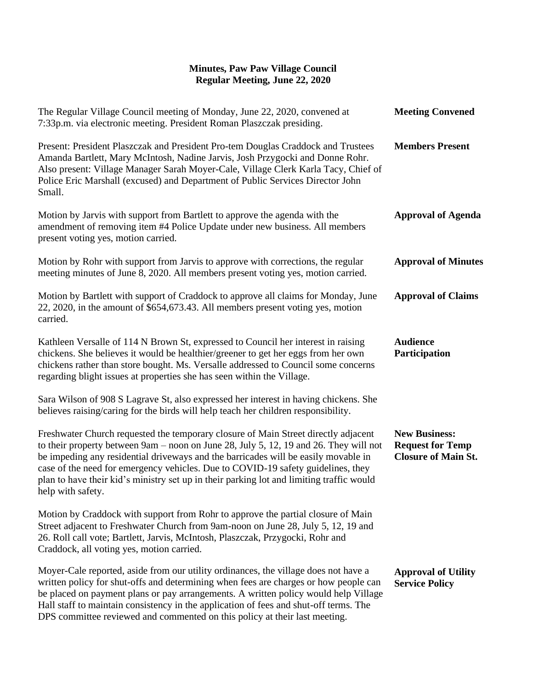## **Minutes, Paw Paw Village Council Regular Meeting, June 22, 2020**

| The Regular Village Council meeting of Monday, June 22, 2020, convened at<br>7:33p.m. via electronic meeting. President Roman Plaszczak presiding.                                                                                                                                                                                                                                                                                                                     | <b>Meeting Convened</b>                                                       |
|------------------------------------------------------------------------------------------------------------------------------------------------------------------------------------------------------------------------------------------------------------------------------------------------------------------------------------------------------------------------------------------------------------------------------------------------------------------------|-------------------------------------------------------------------------------|
| Present: President Plaszczak and President Pro-tem Douglas Craddock and Trustees<br>Amanda Bartlett, Mary McIntosh, Nadine Jarvis, Josh Przygocki and Donne Rohr.<br>Also present: Village Manager Sarah Moyer-Cale, Village Clerk Karla Tacy, Chief of<br>Police Eric Marshall (excused) and Department of Public Services Director John<br>Small.                                                                                                                    | <b>Members Present</b>                                                        |
| Motion by Jarvis with support from Bartlett to approve the agenda with the<br>amendment of removing item #4 Police Update under new business. All members<br>present voting yes, motion carried.                                                                                                                                                                                                                                                                       | <b>Approval of Agenda</b>                                                     |
| Motion by Rohr with support from Jarvis to approve with corrections, the regular<br>meeting minutes of June 8, 2020. All members present voting yes, motion carried.                                                                                                                                                                                                                                                                                                   | <b>Approval of Minutes</b>                                                    |
| Motion by Bartlett with support of Craddock to approve all claims for Monday, June<br>22, 2020, in the amount of \$654,673.43. All members present voting yes, motion<br>carried.                                                                                                                                                                                                                                                                                      | <b>Approval of Claims</b>                                                     |
| Kathleen Versalle of 114 N Brown St, expressed to Council her interest in raising<br>chickens. She believes it would be healthier/greener to get her eggs from her own<br>chickens rather than store bought. Ms. Versalle addressed to Council some concerns<br>regarding blight issues at properties she has seen within the Village.                                                                                                                                 | <b>Audience</b><br>Participation                                              |
| Sara Wilson of 908 S Lagrave St, also expressed her interest in having chickens. She<br>believes raising/caring for the birds will help teach her children responsibility.                                                                                                                                                                                                                                                                                             |                                                                               |
| Freshwater Church requested the temporary closure of Main Street directly adjacent<br>to their property between 9am – noon on June 28, July 5, 12, 19 and 26. They will not<br>be impeding any residential driveways and the barricades will be easily movable in<br>case of the need for emergency vehicles. Due to COVID-19 safety guidelines, they<br>plan to have their kid's ministry set up in their parking lot and limiting traffic would<br>help with safety. | <b>New Business:</b><br><b>Request for Temp</b><br><b>Closure of Main St.</b> |
| Motion by Craddock with support from Rohr to approve the partial closure of Main<br>Street adjacent to Freshwater Church from 9am-noon on June 28, July 5, 12, 19 and<br>26. Roll call vote; Bartlett, Jarvis, McIntosh, Plaszczak, Przygocki, Rohr and<br>Craddock, all voting yes, motion carried.                                                                                                                                                                   |                                                                               |
| Moyer-Cale reported, aside from our utility ordinances, the village does not have a<br>written policy for shut-offs and determining when fees are charges or how people can<br>be placed on payment plans or pay arrangements. A written policy would help Village<br>Hall staff to maintain consistency in the application of fees and shut-off terms. The<br>DPS committee reviewed and commented on this policy at their last meeting.                              | <b>Approval of Utility</b><br><b>Service Policy</b>                           |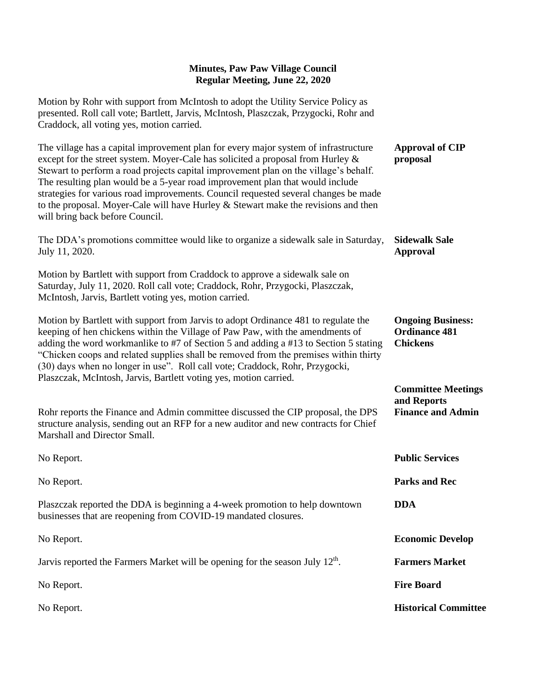## **Minutes, Paw Paw Village Council Regular Meeting, June 22, 2020**

Motion by Rohr with support from McIntosh to adopt the Utility Service Policy as presented. Roll call vote; Bartlett, Jarvis, McIntosh, Plaszczak, Przygocki, Rohr and Craddock, all voting yes, motion carried.

| The village has a capital improvement plan for every major system of infrastructure<br>except for the street system. Moyer-Cale has solicited a proposal from Hurley &<br>Stewart to perform a road projects capital improvement plan on the village's behalf.<br>The resulting plan would be a 5-year road improvement plan that would include<br>strategies for various road improvements. Council requested several changes be made<br>to the proposal. Moyer-Cale will have Hurley & Stewart make the revisions and then<br>will bring back before Council. | <b>Approval of CIP</b><br>proposal                                   |
|-----------------------------------------------------------------------------------------------------------------------------------------------------------------------------------------------------------------------------------------------------------------------------------------------------------------------------------------------------------------------------------------------------------------------------------------------------------------------------------------------------------------------------------------------------------------|----------------------------------------------------------------------|
| The DDA's promotions committee would like to organize a sidewalk sale in Saturday,<br>July 11, 2020.                                                                                                                                                                                                                                                                                                                                                                                                                                                            | <b>Sidewalk Sale</b><br><b>Approval</b>                              |
| Motion by Bartlett with support from Craddock to approve a sidewalk sale on<br>Saturday, July 11, 2020. Roll call vote; Craddock, Rohr, Przygocki, Plaszczak,<br>McIntosh, Jarvis, Bartlett voting yes, motion carried.                                                                                                                                                                                                                                                                                                                                         |                                                                      |
| Motion by Bartlett with support from Jarvis to adopt Ordinance 481 to regulate the<br>keeping of hen chickens within the Village of Paw Paw, with the amendments of<br>adding the word workmanlike to #7 of Section 5 and adding a #13 to Section 5 stating<br>"Chicken coops and related supplies shall be removed from the premises within thirty<br>(30) days when no longer in use". Roll call vote; Craddock, Rohr, Przygocki,<br>Plaszczak, McIntosh, Jarvis, Bartlett voting yes, motion carried.                                                        | <b>Ongoing Business:</b><br><b>Ordinance 481</b><br><b>Chickens</b>  |
| Rohr reports the Finance and Admin committee discussed the CIP proposal, the DPS<br>structure analysis, sending out an RFP for a new auditor and new contracts for Chief<br>Marshall and Director Small.                                                                                                                                                                                                                                                                                                                                                        | <b>Committee Meetings</b><br>and Reports<br><b>Finance and Admin</b> |
| No Report.                                                                                                                                                                                                                                                                                                                                                                                                                                                                                                                                                      | <b>Public Services</b>                                               |
| No Report.                                                                                                                                                                                                                                                                                                                                                                                                                                                                                                                                                      | <b>Parks and Rec</b>                                                 |
| Plaszczak reported the DDA is beginning a 4-week promotion to help downtown<br>businesses that are reopening from COVID-19 mandated closures.                                                                                                                                                                                                                                                                                                                                                                                                                   | <b>DDA</b>                                                           |
| No Report.                                                                                                                                                                                                                                                                                                                                                                                                                                                                                                                                                      | <b>Economic Develop</b>                                              |
| Jarvis reported the Farmers Market will be opening for the season July 12 <sup>th</sup> .                                                                                                                                                                                                                                                                                                                                                                                                                                                                       | <b>Farmers Market</b>                                                |
| No Report.                                                                                                                                                                                                                                                                                                                                                                                                                                                                                                                                                      | <b>Fire Board</b>                                                    |
| No Report.                                                                                                                                                                                                                                                                                                                                                                                                                                                                                                                                                      | <b>Historical Committee</b>                                          |